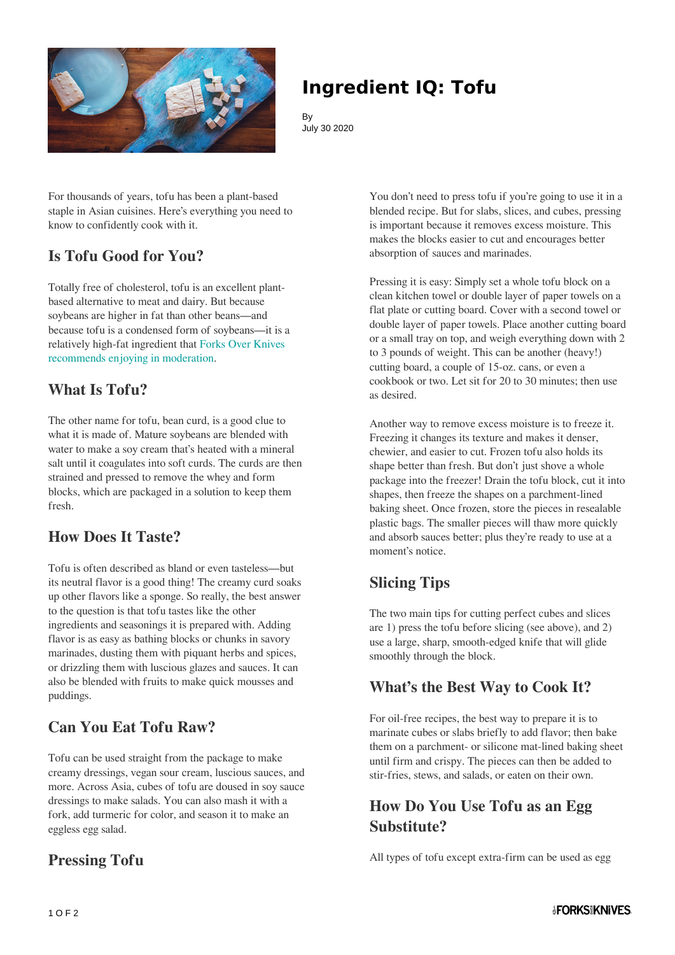

# **Ingredient IQ: Tofu**

By July 30 2020

For thousands of years, tofu has been a plant-based staple in Asian cuisines. Here's everything you need to know to confidently cook with it.

# **Is Tofu Good for You?**

Totally free of cholesterol, tofu is an excellent plantbased alternative to meat and dairy. But because soybeans are higher in fat than other beans—and because tofu is a condensed form of soybeans—it is a relatively high-fat ingredient that [Forks Over Knives](https://www.forksoverknives.com/what-to-eat/) [recommends enjoying in moderation.](https://www.forksoverknives.com/what-to-eat/)

## **What Is Tofu?**

The other name for tofu, bean curd, is a good clue to what it is made of. Mature soybeans are blended with water to make a soy cream that's heated with a mineral salt until it coagulates into soft curds. The curds are then strained and pressed to remove the whey and form blocks, which are packaged in a solution to keep them fresh.

## **How Does It Taste?**

Tofu is often described as bland or even tasteless—but its neutral flavor is a good thing! The creamy curd soaks up other flavors like a sponge. So really, the best answer to the question is that tofu tastes like the other ingredients and seasonings it is prepared with. Adding flavor is as easy as bathing blocks or chunks in savory marinades, dusting them with piquant herbs and spices, or drizzling them with luscious glazes and sauces. It can also be blended with fruits to make quick mousses and puddings.

# **Can You Eat Tofu Raw?**

Tofu can be used straight from the package to make creamy dressings, vegan sour cream, luscious sauces, and more. Across Asia, cubes of tofu are doused in soy sauce dressings to make salads. You can also mash it with a fork, add turmeric for color, and season it to make an eggless egg salad.

## **Pressing Tofu**

You don't need to press tofu if you're going to use it in a blended recipe. But for slabs, slices, and cubes, pressing is important because it removes excess moisture. This makes the blocks easier to cut and encourages better absorption of sauces and marinades.

Pressing it is easy: Simply set a whole tofu block on a clean kitchen towel or double layer of paper towels on a flat plate or cutting board. Cover with a second towel or double layer of paper towels. Place another cutting board or a small tray on top, and weigh everything down with 2 to 3 pounds of weight. This can be another (heavy!) cutting board, a couple of 15-oz. cans, or even a cookbook or two. Let sit for 20 to 30 minutes; then use as desired.

Another way to remove excess moisture is to freeze it. Freezing it changes its texture and makes it denser, chewier, and easier to cut. Frozen tofu also holds its shape better than fresh. But don't just shove a whole package into the freezer! Drain the tofu block, cut it into shapes, then freeze the shapes on a parchment-lined baking sheet. Once frozen, store the pieces in resealable plastic bags. The smaller pieces will thaw more quickly and absorb sauces better; plus they're ready to use at a moment's notice.

# **Slicing Tips**

The two main tips for cutting perfect cubes and slices are 1) press the tofu before slicing (see above), and 2) use a large, sharp, smooth-edged knife that will glide smoothly through the block.

### **What's the Best Way to Cook It?**

For oil-free recipes, the best way to prepare it is to marinate cubes or slabs briefly to add flavor; then bake them on a parchment- or silicone mat-lined baking sheet until firm and crispy. The pieces can then be added to stir-fries, stews, and salads, or eaten on their own.

## **How Do You Use Tofu as an Egg Substitute?**

All types of tofu except extra-firm can be used as egg